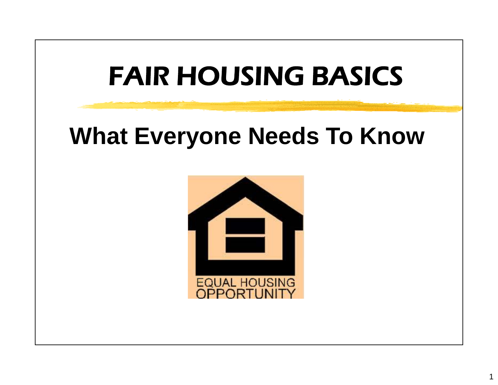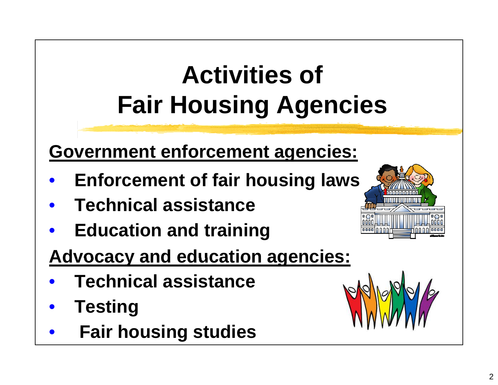# **Activities of Fair Housing Agencies**

#### **Government enforcement agencies:**

- $\bullet$ **Enforcement of fair housing laws**
- $\bullet$ **Technical assistance**
- $\bullet$ **Education and training**
- **Advocacy and education agencies:**
- $\bullet$ **Technical assistance**
- $\bullet$ **•** Testing
- $\bullet$ **Fair housing studies**



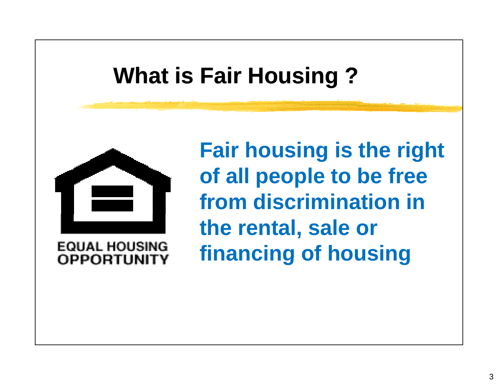## **What is Fair Housing ?**



**EQUAL HOUSING OPPORTHNIT** 

**Fair housing is the right of ll l t b f f all peop le to be free from discrimination in the rental, sale or financing of housing**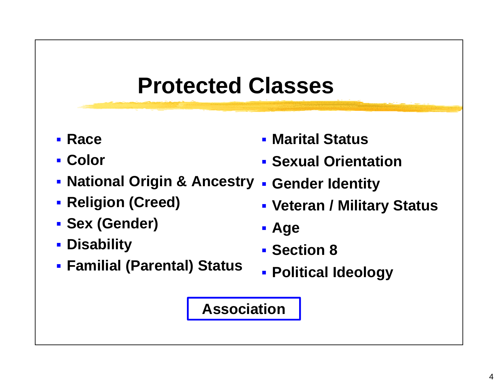#### **Protected Classes**

- **E** Race
- **Color**
- **National Origin & Ancestry**
- **Religion (Creed)**
- **Sex (Gender)**
- **Disability**
- **Familial (Parental) Status**
- **Marital Status**
- **Sexual Orientation**
- **Gender Identity** 
	- **Veteran / Military Status**
	- **Age**
	- **Section 8**
	- **Political Ideology**

#### **Association**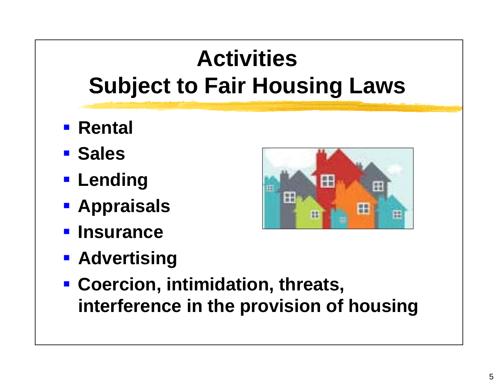## **Activities Subject to Fair Housing Laws**

- **Rental**
- **E** Sales
- **Lending**
- **Appraisals**
- **Insurance**
- **RADDER READER**



 **Coercion, intimidation, threats, i t f i th i i f h i interference in the provision of housing**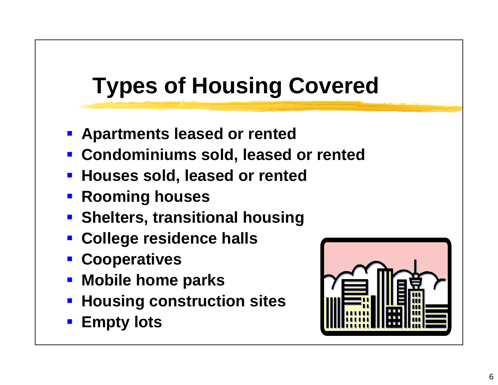## **Types of Housing Covered**

- **Apartments leased or rented**
- **Condominiums sold, leased or rented**
- **Contract Contract Contract Contract Contract Contract Contract Contract Contract Contract Contract Contract Co <u><b>** $\blacksquare$  Houses sold, leased or rented</u>
- **Rooming houses**
- **Sh lt e ers, t iti l h i transitional housing**
- **Example 2 College residence halls**
- **Cooperatives**
- **Mobile home parks**
- and the state of the state of the state of the state of the state of the state of the state of the state of th **Housing construction sites**
- **Empty lots**

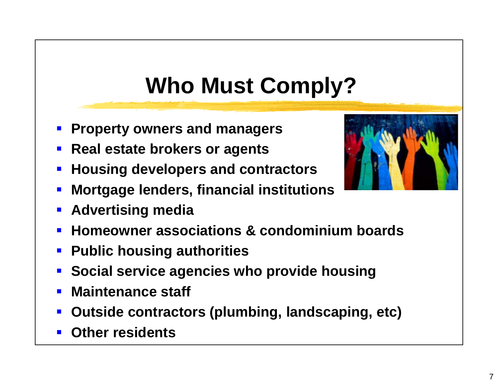## **Who Must Comply?**

- **Property owners and managers**
- **Real estate brokers or agents**
- $\overline{\phantom{a}}$ **Housing developers and contractors**
- $\blacksquare$ **Mortgage lenders, financial institutions**
- $\overline{\phantom{a}}$ **Advertising media**
- $\blacksquare$ **Homeowner associations & condominium boards**
- $\overline{\phantom{a}}$ **E** Public housing authorities
- $\blacksquare$ **Social service agencies who provide housing**
- $\blacksquare$ **Maintenance staff**
- $\mathbf{L}$ **Outside contractors (plumbing, landscaping, etc)**
- **STATE OF STATE OF STATE OF STATE OF STATE OF STATE OF STATE OF STATE OF STATE OF STATE OF STATE OF STATE OF S Other residents**

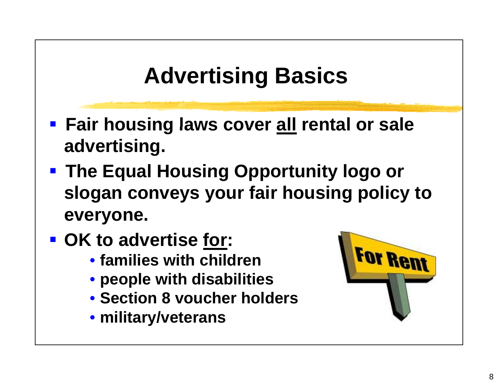## **Advertising Basics**

- **Fair housing laws cover all rental or sale advertising.**
- **The Equal Housing Opportunity logo or slogan conveys your fair housing policy to everyone.**
- **OK to advertise for:**
	- **families with children**
	- **people with disabilities**
	- **Section8 voucher holders**
	- **military/veterans**

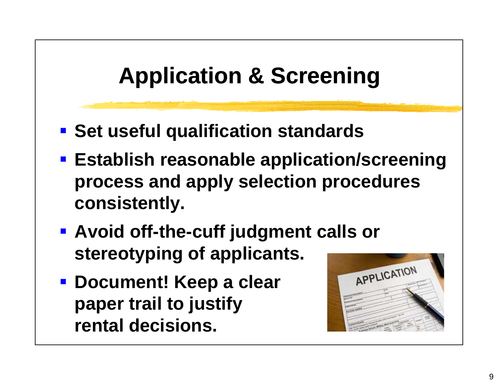## **Application & Screening**

- **<u><b>** $\blacksquare$  **Set useful qualification standards**</u>
- **Establish reasonable application/screening process and apply selection procedures consistently.**
- **Avoid off-the-cuff judgment calls or stereotyping of applicants.**
- **Document! Keep a clear paper trail to justify rental decisions.**

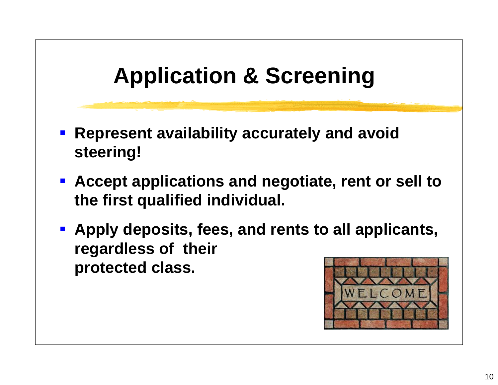## **Application & Screening**

- **Represent availability accurately and avoid steering!**
- **Accept applications and negotiate, rent or sell to the first qualified individual.**
- **Apply deposits, fees, and rents to all applicants, regardless of their protected class.**

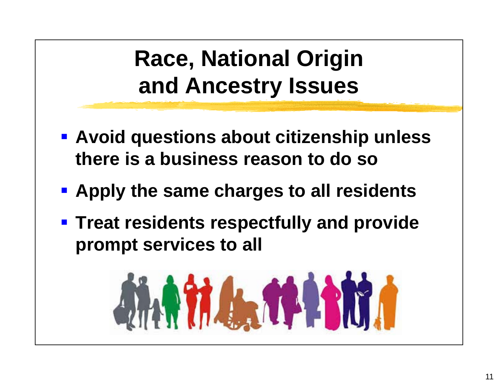## **Race, National Origin and Ancestry Issues**

- **Avoid questions about citizenship unless there is a business reason to do so**
- **Apply the same charges to all residents**
- **Filter 1 Firropian Figure 1 Figure 1 Figure 1 Figure 1 Figure 1 Figure 1 Figure 1 Figure 1 Figure 1 Figure 1 Figure 1 Figure 1 Figure 1 Figure 1 Figure 1 Figure 1 Figure 1 Figure 1 Figure 1 Figure 1 Figure 1 Figure 1 Figu prompt services to all**

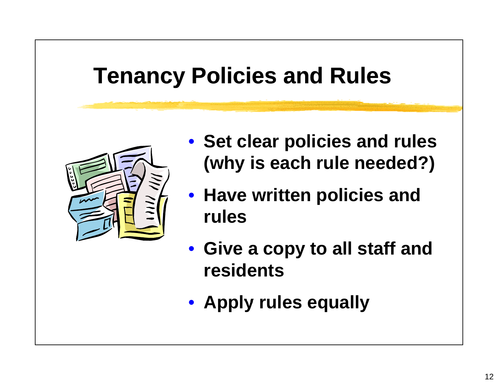#### **Tenancy Policies and Rules**



- **Set clear policies and rules ( y wh y is each rule needed? )**
- **Have written policies and rules**
- **Give a copy to all staff and residents**
- **Apply rules equally**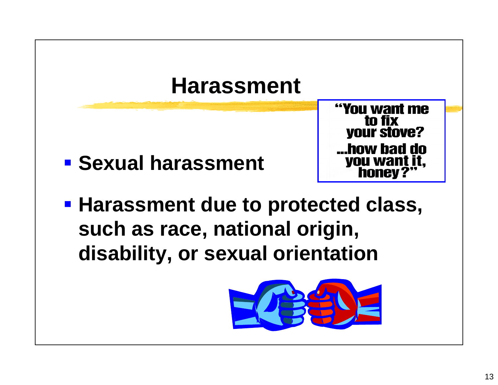

**E** Sexual harassment

"You want me to fix **your stove?** how bad do. **you want honey?** 

 $\blacksquare$  **Harassment due to protected class, such as race, national origin, disability, or sexual orientation**

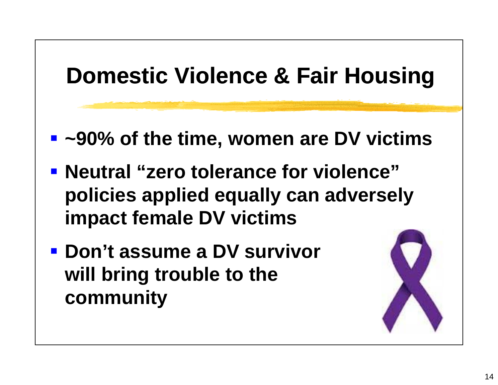

**will bring trouble to the community**

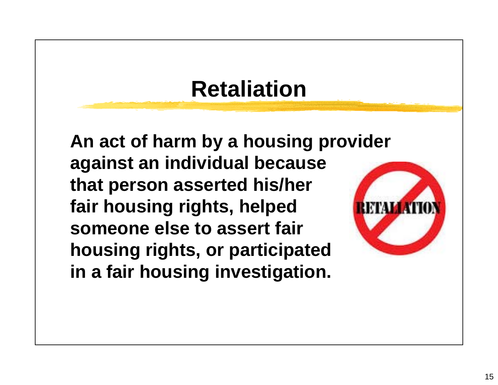## **R t li ti Retaliation**

**An act of harm by a housing provider against an individual because that person asserted his/her fair housing rights, helped someone else to assert fair housingg , p p rights, or participated in a fair housing investigation.**

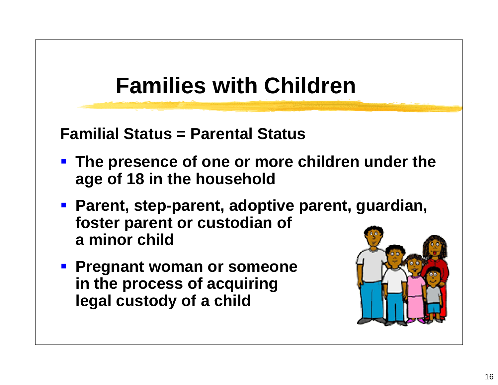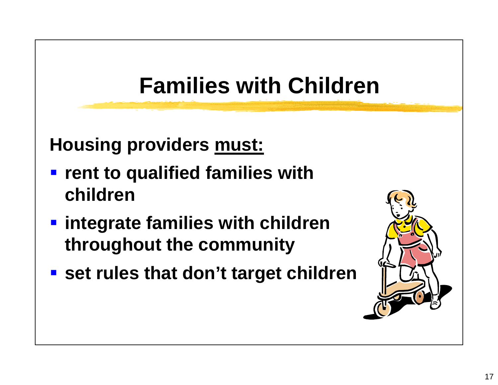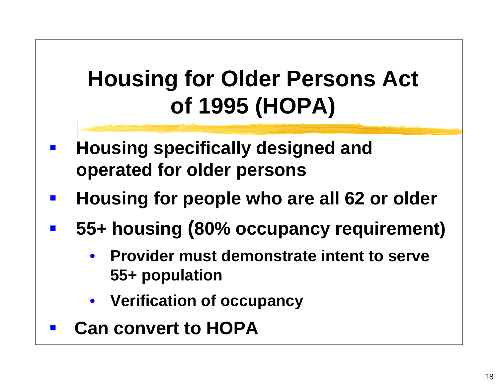## **Housing for Older Persons Act of 1995 (HOPA)**

- $\mathbb{R}^2$  **Housing specifically designed and operated for older persons**
- $\mathbb{R}^2$ **Housing for people who are all 62 or older**
- $\mathbb{R}^n$  **55+ housing (80% occupancy requirement)**
	- $\bullet$  **Provider must demonstrate intent to serve 55+ population**
	- **Verification of occupancy**
- $\mathcal{L}^{\mathcal{L}}$ **Can convert to HOPA**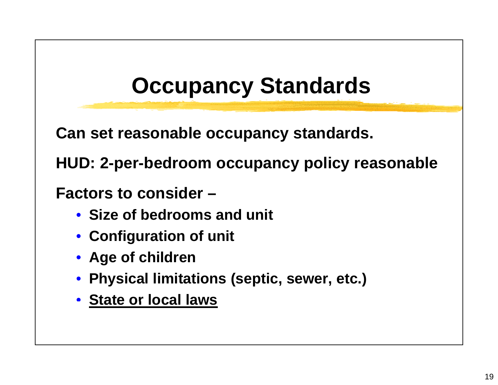## **Occupancy Standards**

**Can set reasonable occupancy standards.**

**HUD: 2- p e r-bedroom occu p yp y anc y polic y reasonable**

**Factors to consider –**

- **Size of bedrooms and unit**
- **Configuration of unit**
- **Age of children**
- **Physical limitations (septic, sewer, etc.)**
- **State or local laws**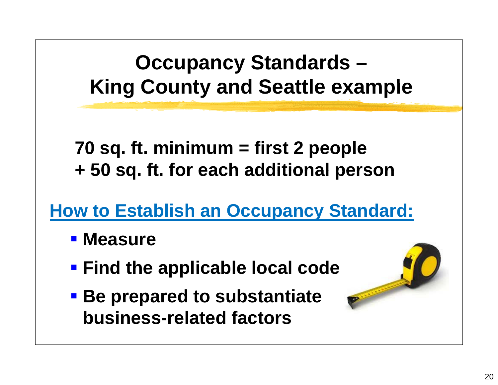#### **Occupancy Standards – King County and Seattle example**

**70 sq. ft. minimum = first 2 people <sup>+</sup> 50 sq ft for each additional sq. ft. person**

**How to Establish an Occupancy Standard: an**

- **E** Measure
- **Find the applicable local code**
- **Be prepared to substantiate substantiate business-related factors**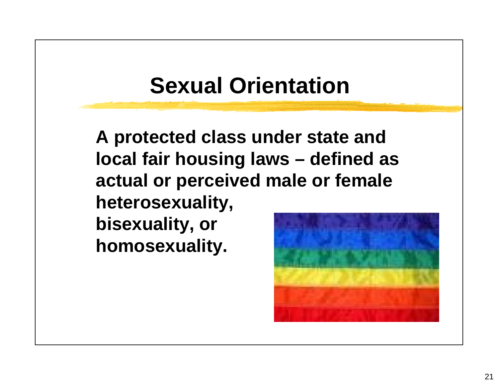#### **Sexual Orientation**

**A protected class under state and local fair housing laws – defined as actual or perceived male or female heterosexuality, bisexuality, or homosexuality.**

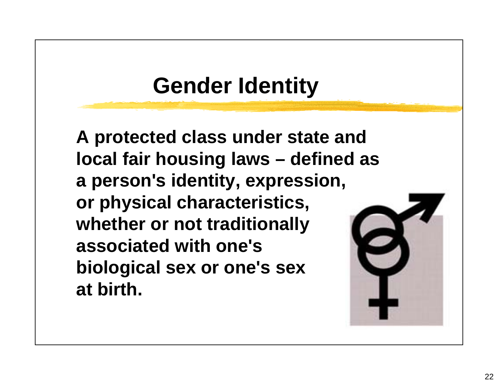#### **Gender Identity**

**A protected class under state and local fair housing laws – defined as a person's identity, expression, or physical characteristics, whether or not traditionally associated with one's biological sex or one's sex at birth.**

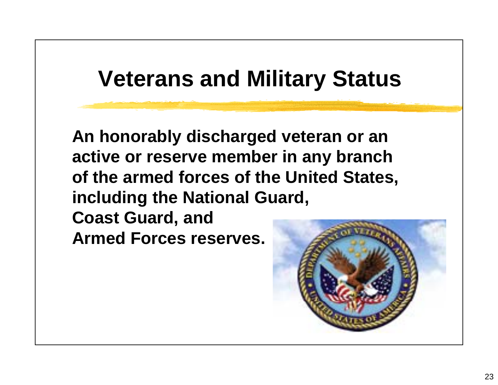#### **Veterans and Military Status**

**An honorably discharged veteran or an active or reserve member in any branch of the armed forces of the United States, including the National Guard, Coast Guard, and Armed Forces reserves.**

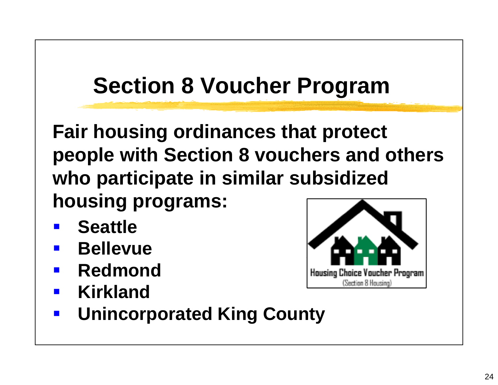## **Section 8 Voucher Program**

**F i h i di Fair housing ordinances th t t t that protect people with Section 8 vouchers and others who participate in similar subsidized housing programs:**

- **Seattle**
- **The Co Bellevue**
- **The Co Redmond**
- **The Co Kirkland**



**The Second Second Unincorporated King County**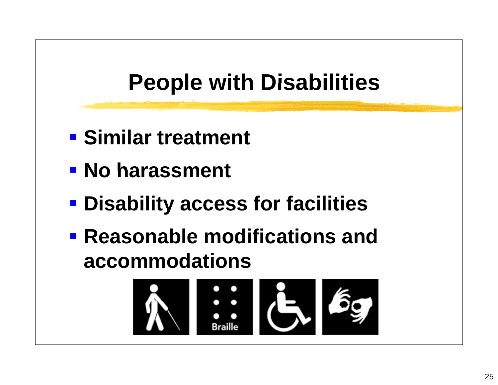## **People with Disabilities**

- **Similar treatment**
- $\blacksquare$  **No harassment**
- **Disabilit y access for facilities**
- **Reasonable modifications and accommodations**

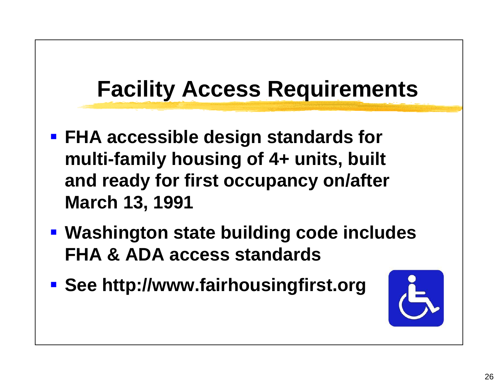## **Facility Access Requirements**

- **FHA accessible design standards for multi-family housing of 4+ units, built and ready for first occupancy on/after March 13, 1991**
- **Washington state building code includes FHA & ADA access standards access**
- **See http://www.fairhousingfirst.org**

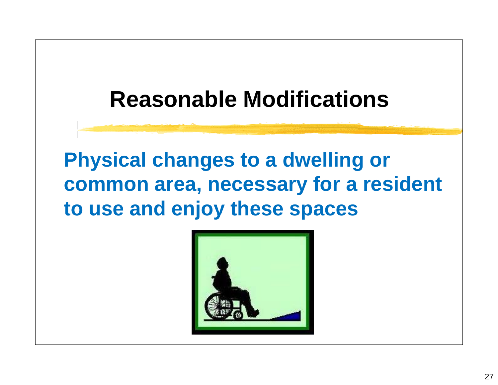#### **Reasonable Modifications**

**Ph yg g sical chan ges to a dwellin g or common area, necessary for a resident to use and enjoy these spaces**

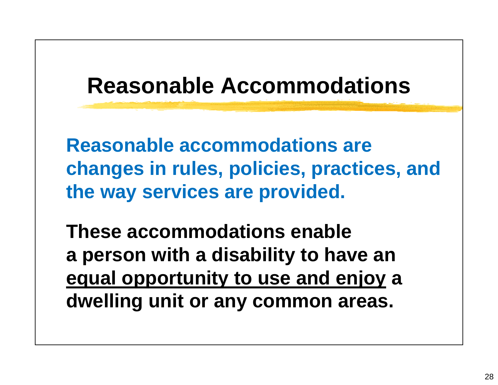#### **Reasonable Accommodations**

**Reasonable accommodations are changes in rules policies practices and rules, policies, practices, and the way services are provided.**

**These accommodations enable<sup>a</sup> person with <sup>a</sup> disability to have an equal opportunity to use and enjoy <sup>a</sup> dwelling unit or any common areas areas.**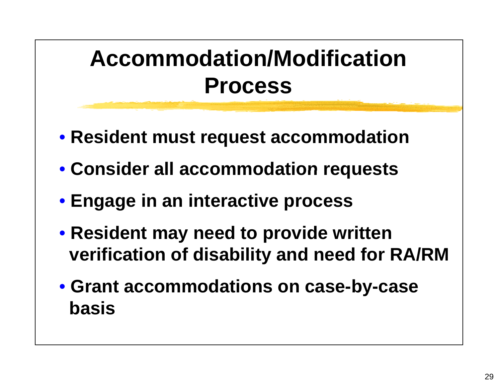## **Accommodation/Modification Process**

- **Resident must request accommodation**
- **Consider all accommodation requests**
- **Engage in an interactive process**
- **Resident may need to provide written verification of disability and need for RA/RM**
- **Grant accommodations on case-by-case b i ass**